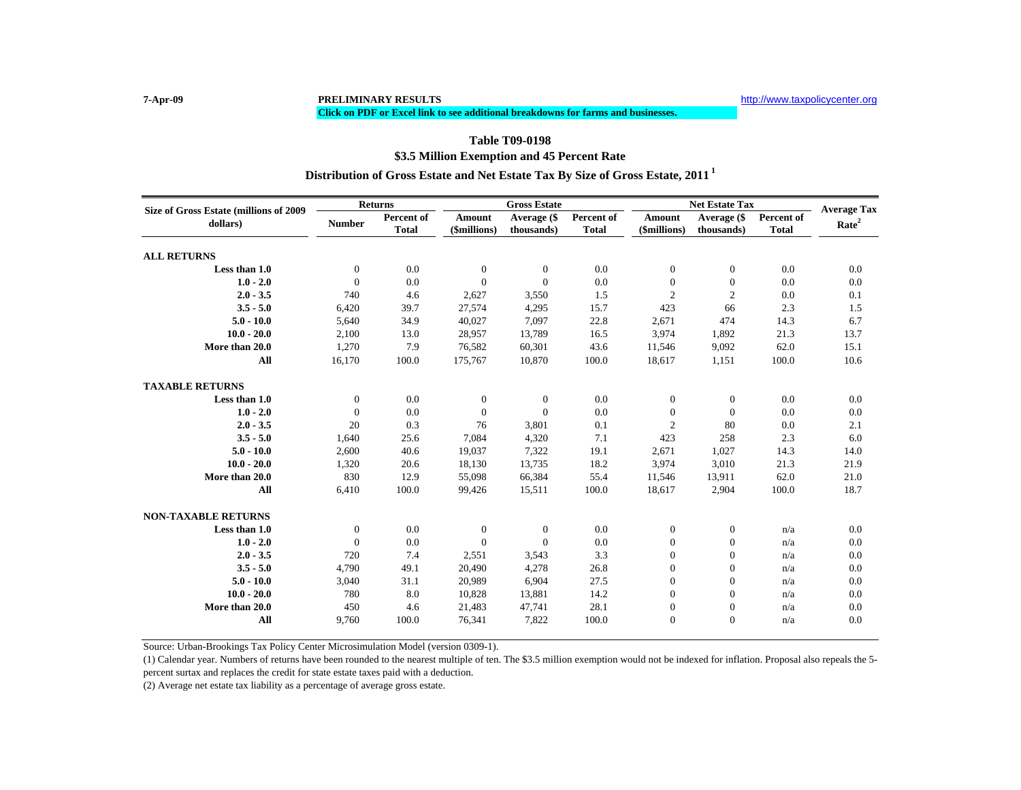#### **Click on PDF or Excel link to see additional breakdowns for farms and businesses.**

### **\$3.5 Million Exemption and 45 Percent Rate Table T09-0198Distribution of Gross Estate and Net Estate Tax By Size of Gross Estate, 2011 <sup>1</sup>**

| Size of Gross Estate (millions of 2009 | <b>Returns</b>   |              | <b>Gross Estate</b> |                |              | <b>Net Estate Tax</b> | <b>Average Tax</b> |              |                   |
|----------------------------------------|------------------|--------------|---------------------|----------------|--------------|-----------------------|--------------------|--------------|-------------------|
| dollars)                               | <b>Number</b>    | Percent of   | Amount              | Average (\$    | Percent of   | Amount                | Average (\$        | Percent of   | Rate <sup>2</sup> |
|                                        |                  | <b>Total</b> | (\$millions)        | thousands)     | <b>Total</b> | (\$millions)          | thousands)         | <b>Total</b> |                   |
| <b>ALL RETURNS</b>                     |                  |              |                     |                |              |                       |                    |              |                   |
| Less than 1.0                          | $\boldsymbol{0}$ | 0.0          | $\mathbf{0}$        | $\mathbf{0}$   | 0.0          | $\boldsymbol{0}$      | $\boldsymbol{0}$   | 0.0          | 0.0               |
| $1.0 - 2.0$                            | $\mathbf{0}$     | 0.0          | $\Omega$            | $\Omega$       | 0.0          | $\boldsymbol{0}$      | $\boldsymbol{0}$   | 0.0          | 0.0               |
| $2.0 - 3.5$                            | 740              | 4.6          | 2,627               | 3,550          | 1.5          | $\mathfrak{2}$        | $\mathbf{2}$       | 0.0          | 0.1               |
| $3.5 - 5.0$                            | 6,420            | 39.7         | 27,574              | 4,295          | 15.7         | 423                   | 66                 | 2.3          | 1.5               |
| $5.0 - 10.0$                           | 5,640            | 34.9         | 40,027              | 7,097          | 22.8         | 2,671                 | 474                | 14.3         | 6.7               |
| $10.0 - 20.0$                          | 2,100            | 13.0         | 28,957              | 13,789         | 16.5         | 3,974                 | 1,892              | 21.3         | 13.7              |
| More than 20.0                         | 1,270            | 7.9          | 76,582              | 60,301         | 43.6         | 11,546                | 9,092              | 62.0         | 15.1              |
| All                                    | 16,170           | 100.0        | 175,767             | 10,870         | 100.0        | 18,617                | 1,151              | 100.0        | 10.6              |
| <b>TAXABLE RETURNS</b>                 |                  |              |                     |                |              |                       |                    |              |                   |
| Less than 1.0                          | $\mathbf{0}$     | 0.0          | $\mathbf{0}$        | $\overline{0}$ | 0.0          | $\mathbf{0}$          | $\theta$           | 0.0          | 0.0               |
| $1.0 - 2.0$                            | $\mathbf{0}$     | 0.0          | $\mathbf{0}$        | $\Omega$       | 0.0          | $\mathbf{0}$          | $\Omega$           | 0.0          | 0.0               |
| $2.0 - 3.5$                            | 20               | 0.3          | 76                  | 3,801          | 0.1          | 2                     | 80                 | 0.0          | 2.1               |
| $3.5 - 5.0$                            | 1,640            | 25.6         | 7,084               | 4,320          | 7.1          | 423                   | 258                | 2.3          | 6.0               |
| $5.0 - 10.0$                           | 2,600            | 40.6         | 19,037              | 7,322          | 19.1         | 2,671                 | 1,027              | 14.3         | 14.0              |
| $10.0 - 20.0$                          | 1,320            | 20.6         | 18,130              | 13,735         | 18.2         | 3,974                 | 3,010              | 21.3         | 21.9              |
| More than 20.0                         | 830              | 12.9         | 55,098              | 66,384         | 55.4         | 11,546                | 13,911             | 62.0         | 21.0              |
| All                                    | 6,410            | 100.0        | 99,426              | 15,511         | 100.0        | 18,617                | 2,904              | 100.0        | 18.7              |
| <b>NON-TAXABLE RETURNS</b>             |                  |              |                     |                |              |                       |                    |              |                   |
| Less than 1.0                          | $\boldsymbol{0}$ | 0.0          | $\mathbf{0}$        | $\theta$       | 0.0          | $\boldsymbol{0}$      | $\boldsymbol{0}$   | n/a          | 0.0               |
| $1.0 - 2.0$                            | $\mathbf{0}$     | 0.0          | $\Omega$            | $\Omega$       | 0.0          | $\boldsymbol{0}$      | $\boldsymbol{0}$   | n/a          | 0.0               |
| $2.0 - 3.5$                            | 720              | 7.4          | 2,551               | 3,543          | 3.3          | $\boldsymbol{0}$      | $\boldsymbol{0}$   | n/a          | 0.0               |
| $3.5 - 5.0$                            | 4,790            | 49.1         | 20,490              | 4,278          | 26.8         | $\mathbf{0}$          | $\theta$           | n/a          | 0.0               |
| $5.0 - 10.0$                           | 3,040            | 31.1         | 20,989              | 6,904          | 27.5         | $\mathbf{0}$          | $\theta$           | n/a          | 0.0               |
| $10.0 - 20.0$                          | 780              | 8.0          | 10,828              | 13,881         | 14.2         | $\mathbf{0}$          | $\boldsymbol{0}$   | n/a          | 0.0               |
| More than 20.0                         | 450              | 4.6          | 21,483              | 47,741         | 28.1         | $\boldsymbol{0}$      | $\boldsymbol{0}$   | n/a          | 0.0               |
| All                                    | 9,760            | 100.0        | 76,341              | 7,822          | 100.0        | $\mathbf{0}$          | $\overline{0}$     | n/a          | 0.0               |

Source: Urban-Brookings Tax Policy Center Microsimulation Model (version 0309-1).

(1) Calendar year. Numbers of returns have been rounded to the nearest multiple of ten. The \$3.5 million exemption would not be indexed for inflation. Proposal also repeals the 5 percent surtax and replaces the credit for state estate taxes paid with a deduction.

(2) Average net estate tax liability as a percentage of average gross estate.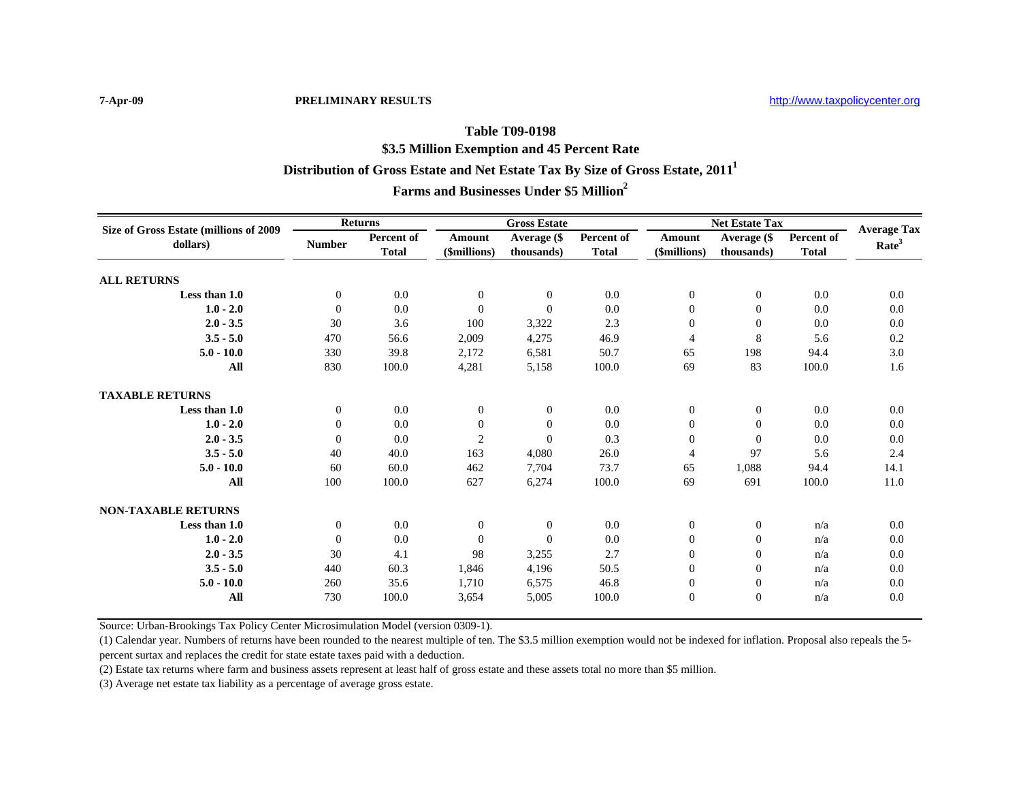# **Table T09-0198Distribution of Gross Estate and Net Estate Tax By Size of Gross Estate, 2011<sup>1</sup> \$3.5 Million Exemption and 45 Percent Rate Farms and Businesses Under \$5 Million2**

| Size of Gross Estate (millions of 2009<br>dollars) | <b>Returns</b>   |                            | <b>Gross Estate</b>    |                           |                            | <b>Net Estate Tax</b>  |                           |                                   | <b>Average Tax</b> |
|----------------------------------------------------|------------------|----------------------------|------------------------|---------------------------|----------------------------|------------------------|---------------------------|-----------------------------------|--------------------|
|                                                    | <b>Number</b>    | Percent of<br><b>Total</b> | Amount<br>(\$millions) | Average (\$<br>thousands) | Percent of<br><b>Total</b> | Amount<br>(\$millions) | Average (\$<br>thousands) | <b>Percent of</b><br><b>Total</b> | Rate <sup>3</sup>  |
| <b>ALL RETURNS</b>                                 |                  |                            |                        |                           |                            |                        |                           |                                   |                    |
| Less than 1.0                                      | $\mathbf{0}$     | 0.0                        | $\overline{0}$         | $\overline{0}$            | 0.0                        | $\mathbf{0}$           | $\mathbf{0}$              | 0.0                               | 0.0                |
| $1.0 - 2.0$                                        | $\mathbf{0}$     | 0.0                        | $\Omega$               | $\Omega$                  | 0.0                        | $\overline{0}$         | $\mathbf{0}$              | 0.0                               | 0.0                |
| $2.0 - 3.5$                                        | 30               | 3.6                        | 100                    | 3,322                     | 2.3                        | $\overline{0}$         | $\mathbf{0}$              | 0.0                               | 0.0                |
| $3.5 - 5.0$                                        | 470              | 56.6                       | 2,009                  | 4,275                     | 46.9                       | $\overline{4}$         | 8                         | 5.6                               | 0.2                |
| $5.0 - 10.0$                                       | 330              | 39.8                       | 2,172                  | 6,581                     | 50.7                       | 65                     | 198                       | 94.4                              | 3.0                |
| All                                                | 830              | 100.0                      | 4,281                  | 5,158                     | 100.0                      | 69                     | 83                        | 100.0                             | 1.6                |
| <b>TAXABLE RETURNS</b>                             |                  |                            |                        |                           |                            |                        |                           |                                   |                    |
| Less than 1.0                                      | $\mathbf{0}$     | 0.0                        | $\overline{0}$         | $\mathbf{0}$              | 0.0                        | $\mathbf{0}$           | $\mathbf{0}$              | 0.0                               | 0.0                |
| $1.0 - 2.0$                                        | $\boldsymbol{0}$ | 0.0                        | $\overline{0}$         | $\Omega$                  | 0.0                        | $\mathbf{0}$           | $\mathbf{0}$              | 0.0                               | 0.0                |
| $2.0 - 3.5$                                        | $\overline{0}$   | 0.0                        | $\overline{c}$         | $\Omega$                  | 0.3                        | $\mathbf{0}$           | $\Omega$                  | 0.0                               | 0.0                |
| $3.5 - 5.0$                                        | 40               | 40.0                       | 163                    | 4,080                     | 26.0                       | $\overline{4}$         | 97                        | 5.6                               | 2.4                |
| $5.0 - 10.0$                                       | 60               | 60.0                       | 462                    | 7,704                     | 73.7                       | 65                     | 1,088                     | 94.4                              | 14.1               |
| All                                                | 100              | 100.0                      | 627                    | 6,274                     | 100.0                      | 69                     | 691                       | 100.0                             | 11.0               |
| <b>NON-TAXABLE RETURNS</b>                         |                  |                            |                        |                           |                            |                        |                           |                                   |                    |
| Less than 1.0                                      | $\mathbf{0}$     | 0.0                        | $\overline{0}$         | $\overline{0}$            | 0.0                        | $\mathbf{0}$           | $\boldsymbol{0}$          | n/a                               | 0.0                |
| $1.0 - 2.0$                                        | $\overline{0}$   | 0.0                        | $\Omega$               | $\Omega$                  | 0.0                        | $\mathbf{0}$           | $\mathbf{0}$              | n/a                               | 0.0                |
| $2.0 - 3.5$                                        | 30               | 4.1                        | 98                     | 3,255                     | 2.7                        | $\overline{0}$         | $\theta$                  | n/a                               | 0.0                |
| $3.5 - 5.0$                                        | 440              | 60.3                       | 1,846                  | 4,196                     | 50.5                       | $\overline{0}$         | $\mathbf{0}$              | n/a                               | 0.0                |
| $5.0 - 10.0$                                       | 260              | 35.6                       | 1,710                  | 6,575                     | 46.8                       | $\boldsymbol{0}$       | $\boldsymbol{0}$          | n/a                               | 0.0                |
| All                                                | 730              | 100.0                      | 3,654                  | 5,005                     | 100.0                      | $\mathbf{0}$           | $\mathbf{0}$              | n/a                               | 0.0                |

Source: Urban-Brookings Tax Policy Center Microsimulation Model (version 0309-1).

(1) Calendar year. Numbers of returns have been rounded to the nearest multiple of ten. The \$3.5 million exemption would not be indexed for inflation. Proposal also repeals the 5 percent surtax and replaces the credit for state estate taxes paid with a deduction.

(2) Estate tax returns where farm and business assets represent at least half of gross estate and these assets total no more than \$5 million.

(3) Average net estate tax liability as a percentage of average gross estate.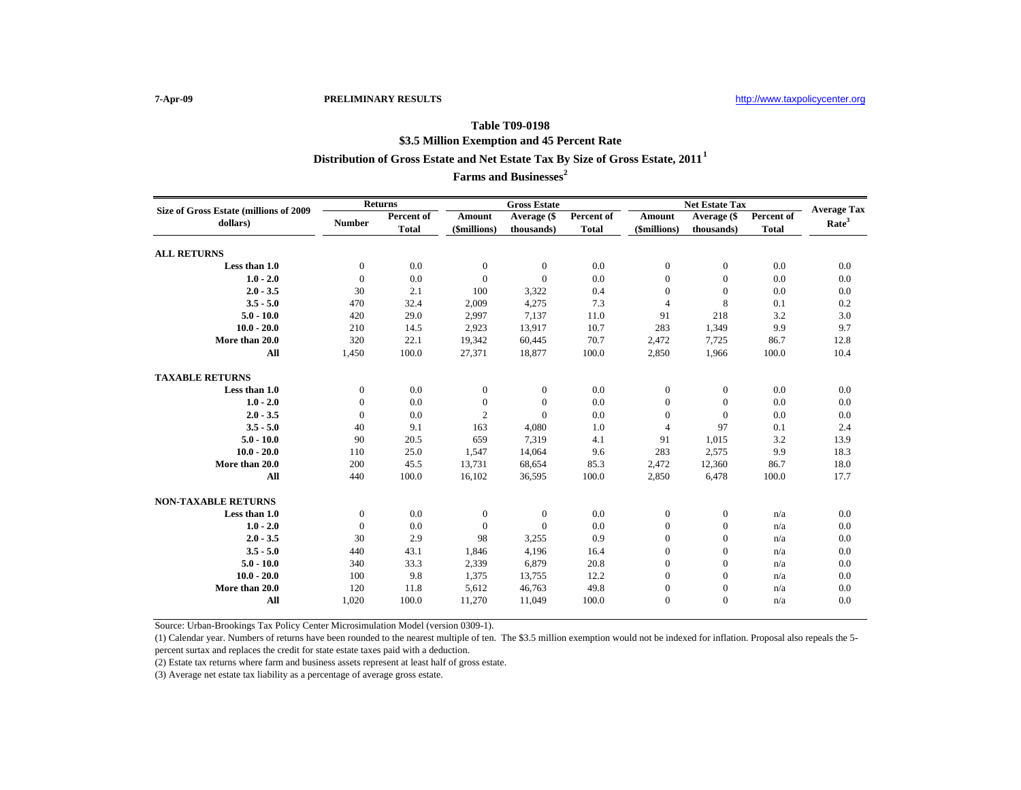## **Table T09-0198 Distribution of Gross Estate and Net Estate Tax By Size of Gross Estate, 2011<sup>1</sup> \$3.5 Million Exemption and 45 Percent Rate**

**Farms and Businesses<sup>2</sup>**

| Size of Gross Estate (millions of 2009 | <b>Returns</b>   |              | <b>Gross Estate</b> |                |              | <b>Net Estate Tax</b> | <b>Average Tax</b> |              |                   |
|----------------------------------------|------------------|--------------|---------------------|----------------|--------------|-----------------------|--------------------|--------------|-------------------|
| dollars)                               | <b>Number</b>    | Percent of   | Amount              | Average (\$    | Percent of   | Amount                | Average (\$        | Percent of   | Rate <sup>3</sup> |
|                                        |                  | <b>Total</b> | (\$millions)        | thousands)     | <b>Total</b> | (\$millions)          | thousands)         | <b>Total</b> |                   |
| <b>ALL RETURNS</b>                     |                  |              |                     |                |              |                       |                    |              |                   |
| Less than 1.0                          | $\boldsymbol{0}$ | 0.0          | $\mathbf{0}$        | $\bf{0}$       | 0.0          | $\boldsymbol{0}$      | $\boldsymbol{0}$   | 0.0          | 0.0               |
| $1.0 - 2.0$                            | $\theta$         | 0.0          | $\mathbf{0}$        | $\overline{0}$ | 0.0          | $\mathbf{0}$          | $\mathbf{0}$       | 0.0          | 0.0               |
| $2.0 - 3.5$                            | 30               | 2.1          | 100                 | 3,322          | 0.4          | $\mathbf{0}$          | $\mathbf{0}$       | 0.0          | 0.0               |
| $3.5 - 5.0$                            | 470              | 32.4         | 2,009               | 4,275          | 7.3          | 4                     | 8                  | 0.1          | 0.2               |
| $5.0 - 10.0$                           | 420              | 29.0         | 2,997               | 7.137          | 11.0         | 91                    | 218                | 3.2          | 3.0               |
| $10.0 - 20.0$                          | 210              | 14.5         | 2,923               | 13,917         | 10.7         | 283                   | 1,349              | 9.9          | 9.7               |
| More than 20.0                         | 320              | 22.1         | 19,342              | 60,445         | 70.7         | 2,472                 | 7,725              | 86.7         | 12.8              |
| All                                    | 1,450            | 100.0        | 27,371              | 18,877         | 100.0        | 2,850                 | 1,966              | 100.0        | 10.4              |
| <b>TAXABLE RETURNS</b>                 |                  |              |                     |                |              |                       |                    |              |                   |
| Less than 1.0                          | $\overline{0}$   | 0.0          | $\theta$            | $\overline{0}$ | 0.0          | $\boldsymbol{0}$      | $\boldsymbol{0}$   | 0.0          | 0.0               |
| $1.0 - 2.0$                            | $\Omega$         | 0.0          | $\mathbf{0}$        | $\Omega$       | 0.0          | $\mathbf{0}$          | $\mathbf{0}$       | 0.0          | 0.0               |
| $2.0 - 3.5$                            | $\mathbf{0}$     | 0.0          | $\overline{2}$      | $\Omega$       | 0.0          | $\mathbf{0}$          | $\Omega$           | 0.0          | 0.0               |
| $3.5 - 5.0$                            | 40               | 9.1          | 163                 | 4,080          | 1.0          | $\overline{4}$        | 97                 | 0.1          | 2.4               |
| $5.0 - 10.0$                           | 90               | 20.5         | 659                 | 7,319          | 4.1          | 91                    | 1,015              | 3.2          | 13.9              |
| $10.0 - 20.0$                          | 110              | 25.0         | 1,547               | 14,064         | 9.6          | 283                   | 2,575              | 9.9          | 18.3              |
| More than 20.0                         | 200              | 45.5         | 13,731              | 68,654         | 85.3         | 2,472                 | 12,360             | 86.7         | 18.0              |
| All                                    | 440              | 100.0        | 16,102              | 36,595         | 100.0        | 2,850                 | 6,478              | 100.0        | 17.7              |
| <b>NON-TAXABLE RETURNS</b>             |                  |              |                     |                |              |                       |                    |              |                   |
| Less than 1.0                          | $\theta$         | 0.0          | $\theta$            | $\mathbf{0}$   | 0.0          | $\mathbf{0}$          | $\mathbf{0}$       | n/a          | 0.0               |
| $1.0 - 2.0$                            | $\overline{0}$   | 0.0          | $\Omega$            | $\Omega$       | 0.0          | $\boldsymbol{0}$      | $\boldsymbol{0}$   | n/a          | 0.0               |
| $2.0 - 3.5$                            | 30               | 2.9          | 98                  | 3,255          | 0.9          | $\boldsymbol{0}$      | $\boldsymbol{0}$   | n/a          | 0.0               |
| $3.5 - 5.0$                            | 440              | 43.1         | 1,846               | 4,196          | 16.4         | $\mathbf{0}$          | $\boldsymbol{0}$   | n/a          | 0.0               |
| $5.0 - 10.0$                           | 340              | 33.3         | 2,339               | 6,879          | 20.8         | $\mathbf{0}$          | $\mathbf{0}$       | n/a          | 0.0               |
| $10.0 - 20.0$                          | 100              | 9.8          | 1,375               | 13,755         | 12.2         | $\mathbf{0}$          | $\mathbf{0}$       | n/a          | 0.0               |
| More than 20.0                         | 120              | 11.8         | 5,612               | 46,763         | 49.8         | $\boldsymbol{0}$      | $\boldsymbol{0}$   | n/a          | 0.0               |
| All                                    | 1,020            | 100.0        | 11,270              | 11.049         | 100.0        | $\overline{0}$        | $\mathbf{0}$       | n/a          | 0.0               |

Source: Urban-Brookings Tax Policy Center Microsimulation Model (version 0309-1).

(1) Calendar year. Numbers of returns have been rounded to the nearest multiple of ten. The \$3.5 million exemption would not be indexed for inflation. Proposal also repeals the 5 percent surtax and replaces the credit for state estate taxes paid with a deduction.

(2) Estate tax returns where farm and business assets represent at least half of gross estate.

(3) Average net estate tax liability as a percentage of average gross estate.